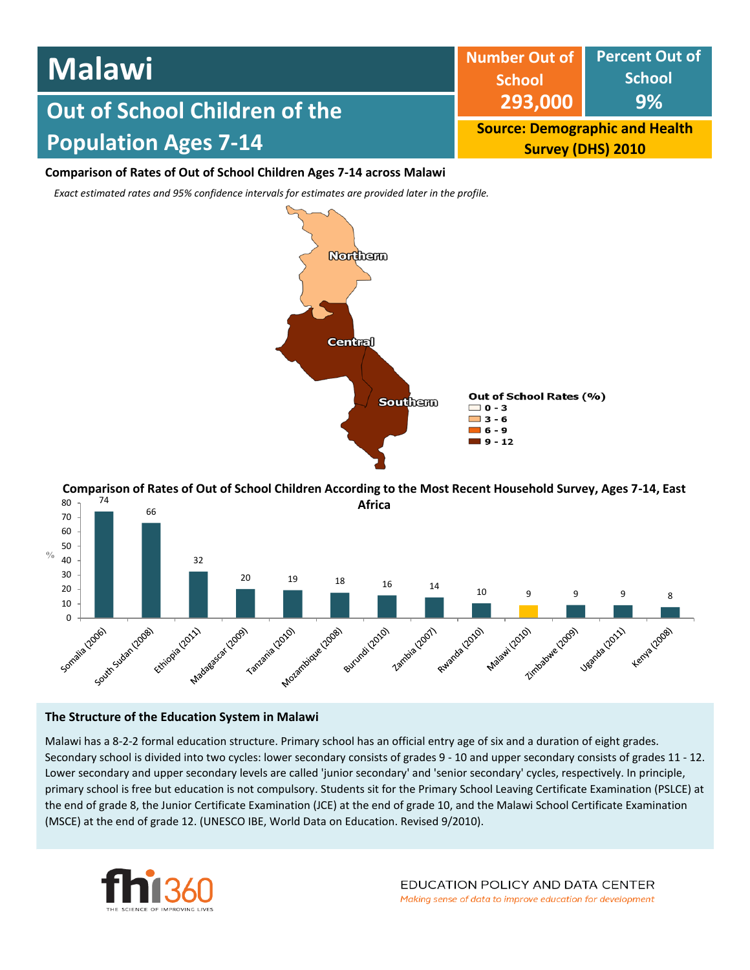| <b>Malawi</b>                        | Number Out of Percent Out of<br><b>School</b>                     | <b>School</b> |  |
|--------------------------------------|-------------------------------------------------------------------|---------------|--|
| <b>Out of School Children of the</b> | 293,000                                                           | 9%            |  |
| <b>Population Ages 7-14</b>          | <b>Source: Demographic and Health</b><br><b>Survey (DHS) 2010</b> |               |  |

## **Comparison of Rates of Out of School Children Ages 7-14 across Malawi**

*Exact estimated rates and 95% confidence intervals for estimates are provided later in the profile.* 



74 80 **Comparison of Rates of Out of School Children According to the Most Recent Household Survey, Ages 7-14, East Africa**



## **The Structure of the Education System in Malawi**

Malawi has a 8-2-2 formal education structure. Primary school has an official entry age of six and a duration of eight grades. Secondary school is divided into two cycles: lower secondary consists of grades 9 - 10 and upper secondary consists of grades 11 - 12. Lower secondary and upper secondary levels are called 'junior secondary' and 'senior secondary' cycles, respectively. In principle, primary school is free but education is not compulsory. Students sit for the Primary School Leaving Certificate Examination (PSLCE) at the end of grade 8, the Junior Certificate Examination (JCE) at the end of grade 10, and the Malawi School Certificate Examination (MSCE) at the end of grade 12. (UNESCO IBE, World Data on Education. Revised 9/2010).

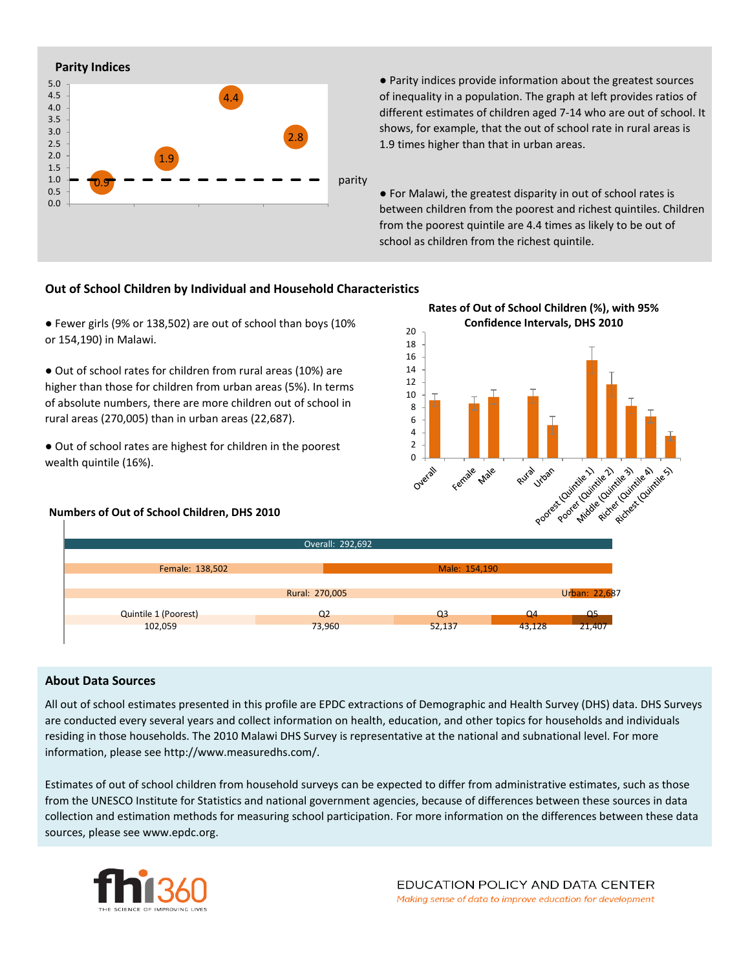

● Parity indices provide information about the greatest sources of inequality in a population. The graph at left provides ratios of different estimates of children aged 7-14 who are out of school. It shows, for example, that the out of school rate in rural areas is 1.9 times higher than that in urban areas.

● For Malawi, the greatest disparity in out of school rates is between children from the poorest and richest quintiles. Children from the poorest quintile are 4.4 times as likely to be out of school as children from the richest quintile.

## **Out of School Children by Individual and Household Characteristics**

● Fewer girls (9% or 138,502) are out of school than boys (10% or 154,190) in Malawi.

● Out of school rates for children from rural areas (10%) are higher than those for children from urban areas (5%). In terms of absolute numbers, there are more children out of school in rural areas (270,005) than in urban areas (22,687).

● Out of school rates are highest for children in the poorest wealth quintile (16%).

### **Numbers of Out of School Children, DHS 2010**





#### **About Data Sources**

All out of school estimates presented in this profile are EPDC extractions of Demographic and Health Survey (DHS) data. DHS Surveys are conducted every several years and collect information on health, education, and other topics for households and individuals residing in those households. The 2010 Malawi DHS Survey is representative at the national and subnational level. For more information, please see http://www.measuredhs.com/.

Estimates of out of school children from household surveys can be expected to differ from administrative estimates, such as those from the UNESCO Institute for Statistics and national government agencies, because of differences between these sources in data collection and estimation methods for measuring school participation. For more information on the differences between these data sources, please see www.epdc.org.

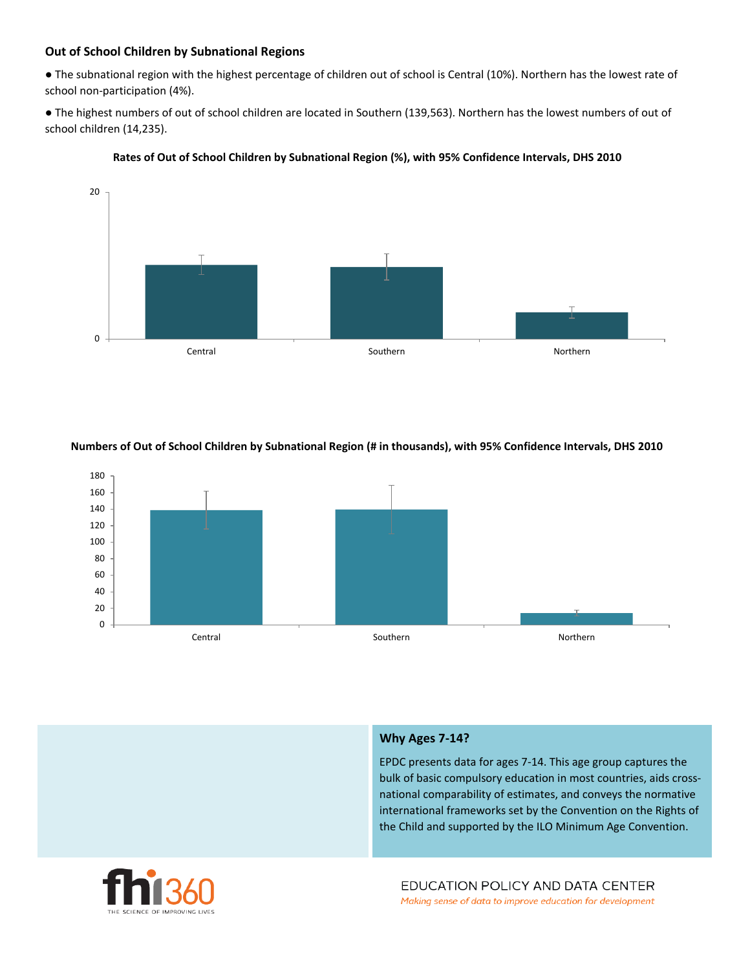# **Out of School Children by Subnational Regions**

● The subnational region with the highest percentage of children out of school is Central (10%). Northern has the lowest rate of school non-participation (4%).

● The highest numbers of out of school children are located in Southern (139,563). Northern has the lowest numbers of out of school children (14,235).



### **Rates of Out of School Children by Subnational Region (%), with 95% Confidence Intervals, DHS 2010**

### **Numbers of Out of School Children by Subnational Region (# in thousands), with 95% Confidence Intervals, DHS 2010**



## **Why Ages 7-14?**

EPDC presents data for ages 7-14. This age group captures the bulk of basic compulsory education in most countries, aids crossnational comparability of estimates, and conveys the normative international frameworks set by the Convention on the Rights of the Child and supported by the ILO Minimum Age Convention.

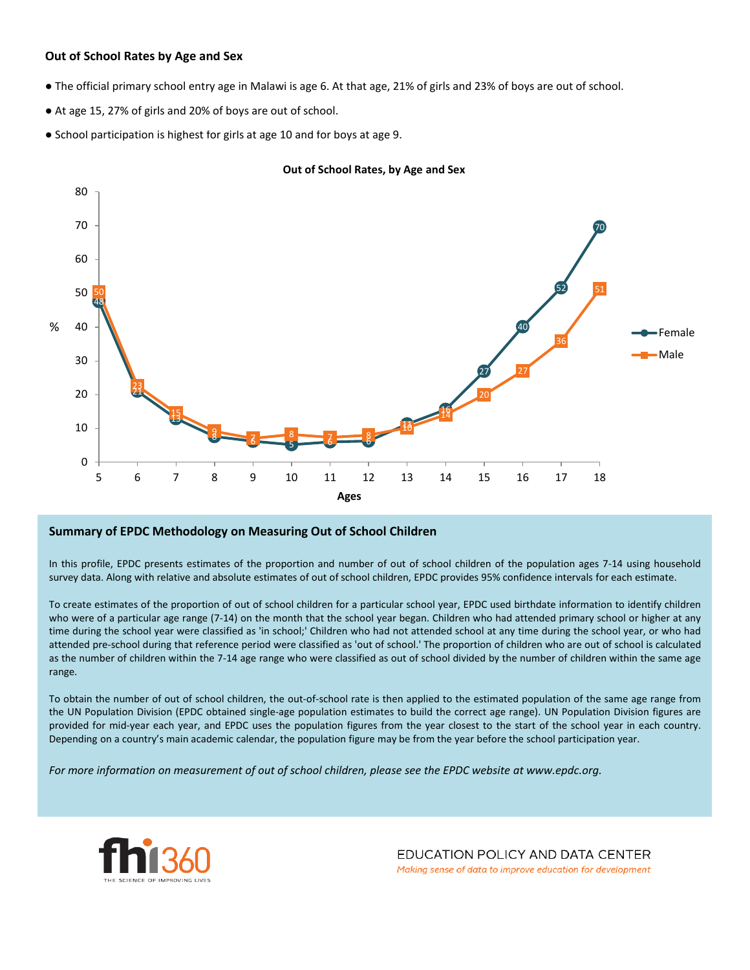## **Out of School Rates by Age and Sex**

- The official primary school entry age in Malawi is age 6. At that age, 21% of girls and 23% of boys are out of school.
- At age 15, 27% of girls and 20% of boys are out of school.
- School participation is highest for girls at age 10 and for boys at age 9.



#### **Out of School Rates, by Age and Sex**

### **Summary of EPDC Methodology on Measuring Out of School Children**

In this profile, EPDC presents estimates of the proportion and number of out of school children of the population ages 7-14 using household survey data. Along with relative and absolute estimates of out of school children, EPDC provides 95% confidence intervals for each estimate.

To create estimates of the proportion of out of school children for a particular school year, EPDC used birthdate information to identify children who were of a particular age range (7-14) on the month that the school year began. Children who had attended primary school or higher at any time during the school year were classified as 'in school;' Children who had not attended school at any time during the school year, or who had attended pre-school during that reference period were classified as 'out of school.' The proportion of children who are out of school is calculated as the number of children within the 7-14 age range who were classified as out of school divided by the number of children within the same age range.

To obtain the number of out of school children, the out-of-school rate is then applied to the estimated population of the same age range from the UN Population Division (EPDC obtained single-age population estimates to build the correct age range). UN Population Division figures are provided for mid-year each year, and EPDC uses the population figures from the year closest to the start of the school year in each country. Depending on a country's main academic calendar, the population figure may be from the year before the school participation year.

For more information on measurement of out of school children, please see the EPDC website at www.epdc.org.



EDUCATION POLICY AND DATA CENTER Making sense of data to improve education for development